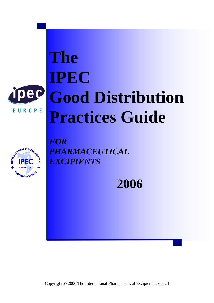

EUROPE

# **The IPEC Good Distribution Practices Guide**



*FOR PHARMACEUTICAL EXCIPIENTS*

**2006** 

Copyright © 2006 The International Pharmaceutical Excipients Council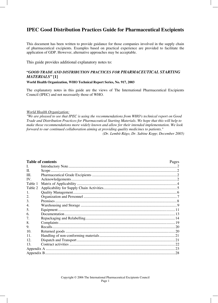# **IPEC Good Distribution Practices Guide for Pharmaceutical Excipients**

This document has been written to provide guidance for those companies involved in the supply chain of pharmaceutical excipients. Examples based on practical experience are provided to facilitate the application of GDP. However, alternative approaches may be acceptable.

This guide provides additional explanatory notes to:

# **"***GOOD TRADE AND DISTRIBUTION PRACTICES FOR PHARMACEUTICAL STARTING MATERIALS"* **[1]**

**World Health Organization, WHO Technical Report Series, No. 917, 2003** 

The explanatory notes in this guide are the views of The International Pharmaceutical Excipients Council (IPEC) and not necessarily those of WHO.

#### *World Health Organization:*

*"We are pleased to see that IPEC is using the recommendations from WHO's technical report on Good Trade and Distribution Practices for Pharmaceutical Starting Materials. We hope that this will help to make those recommendations more widely known and allow for their intended implementation. We look forward to our continued collaboration aiming at providing quality medicines to patients." (Dr. Lembit Rägo, Dr. Sabine Kopp; December 2005)*

|         | <b>Table of contents</b> | Pages |
|---------|--------------------------|-------|
| L.      |                          |       |
| II.     |                          |       |
| III.    |                          |       |
| IV.     |                          |       |
| Table 1 |                          |       |
| Table 2 |                          |       |
| 1.      |                          |       |
| 2.      |                          |       |
| 3.      |                          |       |
| 4.      |                          |       |
| 5.      |                          |       |
| 6.      |                          |       |
| 7.      |                          |       |
| 8.      |                          |       |
| 9.      |                          |       |
| 10.     |                          |       |
| 11.     |                          |       |
| 12.     |                          |       |
| 13.     |                          |       |
|         |                          |       |
|         |                          |       |
|         |                          |       |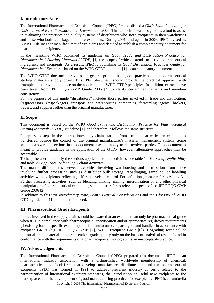# **I. Introductory Note**

The International Pharmaceutical Excipients Council (IPEC) first published a *GMP Audit Guideline for Distributors of Bulk Pharmaceutical Excipients* in 2000. This Guideline was designed as a tool to assist in evaluating the practices and quality systems of distributors who store excipients in their warehouses and those who both repackage and store excipients. During 2001, and again in 2006, IPEC revised its GMP Guidelines for manufacturers of excipients and decided to publish a complementary document for distributors of excipients.

In the meantime WHO published its guideline on *Good Trade and Distribution Practice for Pharmaceutical Starting Materials (GTDP)* [1] the scope of which extends to active pharmaceutical ingredients and excipients. As a result, IPEC is publishing its *Good Distribution Practices Guide for Pharmaceutical Excipients* based on the WHO GTDP guideline [1] as an explanatory document.

The WHO GTDP document provides the general principles of good practices in the pharmaceutical starting materials supply chain. This IPEC document should provide the practical approach with examples that provide guidance on the application of WHO GTDP principles. In addition, extracts have been taken from IPEC PQG GMP Guide 2006 [2] to clarify certain requirements and maintain consistency.

For the purpose of this guide "distributors" includes those parties involved in trade and distribution, (re)processors, (re)packagers, transport and warehousing companies, forwarding agents, brokers, traders, and suppliers other than the original manufacturer.

# **II. Scope**

This document is based on the WHO *Good Trade and Distribution Practice for Pharmaceutical Starting Materials (GTDP)* guideline [1], and therefore it follows the same structure.

It applies to steps in the distribution/supply chain starting from the point at which an excipient is transferred outside the control of the original manufacturer's material management system. Some sections and/or sub-sections in this document may not apply to all involved parties. This document is meant to provide guidance in the application of the GTDP; however, alternative approaches may be acceptable.

To help the user to identify the sections applicable to the activities, see table 1 - *Matrix of Applicability* and table 2 - *Applicability for supply chain activities*.

The matrix differentiates between activities involving warehousing and distribution from those involving further processing such as distributor bulk storage, repackaging, sampling, or labelling activities with excipients, reflecting different levels of control. For definitions, please refer to Annex A. Further processing activities, such as blending, mixing, milling, micronization or any other physical manipulation of pharmaceutical excipients, should also refer to relevant aspects of the IPEC PQG GMP Guide 2006 [2].

In addition to this text *Introductory Note, Scope, General Considerations* and the *Glossary* of WHO GTDP guideline [1] should be referenced.

# **III. Pharmaceutical Grade Excipients**

Parties involved in the supply chain should be aware that an excipient can only be pharmaceutical grade when it is in compliance with pharmacopoeial specification and/or appropriate regulatory requirements (if existing for the specific excipient) and is manufactured, repackaged, and handled in accordance with excipient GMPs (e.g. IPEC PQG GMP [2], WHO Excipient GMP [6]). Upgrading technical or industrial grade material to pharmaceutical grade quality only on the basis of analytical results found in conformance with the requirements of a pharmacopoeial monograph is an unacceptable practice.

# **IV. Acknowledgements**

The International Pharmaceutical Excipients Council (IPEC) prepared this document. IPEC is an international industry association with a distinguished worldwide membership of chemical, pharmaceutical and food firms that develop, manufacture, distribute, sell and use pharmaceutical excipients. IPEC was formed in 1991 to address prevalent industry concerns related to the harmonization of international excipient standards, the introduction of useful new excipients to the marketplace, and the development of good manufacturing practices for excipients. IPEC is an umbrella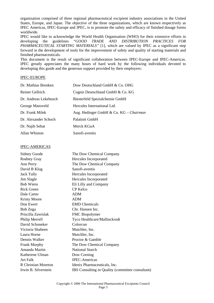organization comprised of three regional pharmaceutical excipient industry associations in the United States, Europe, and Japan. The objective of the three organizations, which are known respectively as IPEC Americas, IPEC-Europe and JPEC, is to promote the safety and efficacy of finished dosage forms worldwide.

IPEC would like to acknowledge the World Health Organisation (WHO) for their extensive efforts in developing the guidelines "*GOOD TRADE AND DISTRIBUTION PRACTICES FOR PHARMACEUTICAL STARTING MATERIALS"* [1], which are valued by IPEC as a significant step forward in the development of tools for the improvement of safety and quality of starting materials and finished pharmaceuticals.

This document is the result of significant collaboration between IPEC-Europe and IPEC-Americas. IPEC greatly appreciates the many hours of hard work by the following individuals devoted to developing this guide and the generous support provided by their employers:

#### IPEC-EUROPE

| Dr. Mathias Brenken   | Dow Deutschland GmbH & Co. OHG         |
|-----------------------|----------------------------------------|
| Reiner Gellrich       | Cognis Deutschland GmbH & Co. KG       |
| Dr. Andreas Lekebusch | Biesterfeld Spezialchemie GmbH         |
| George Mansveld       | Hercules International Ltd.            |
| Dr. Frank Milek       | Aug. Hedinger GmbH & Co. KG - Chairman |
| Dr. Alexander Schoch  | Palatinit GmbH                         |
| Dr. Najib Sehat       | Merck KGaA                             |
| Allan Whiston         | Sanofi-aventis                         |

#### IPEC-AMERICAS

| <b>Sidney Goode</b>  | The Dow Chemical Company                         |
|----------------------|--------------------------------------------------|
| <b>Rodney Gray</b>   | Hercules Incorporated                            |
| Ann Perry            | The Dow Chemical Company                         |
| David B Klug         | Sanofi-aventis                                   |
| <b>Jack Tully</b>    | Hercules Incorporated                            |
| Jim Slagle           | Hercules Incorporated                            |
| <b>Bob Wiens</b>     | Eli Lilly and Company                            |
| Rick Green           | CP Kelco                                         |
| Dale Carter          | <b>ADM</b>                                       |
| <b>Kristy Moore</b>  | <b>ADM</b>                                       |
| Don Ewert            | <b>EMD</b> Chemicals                             |
| Bob Zega             | Chr. Hansen Inc.                                 |
| Priscilla Zawislak   | FMC Biopolymer                                   |
| Philip Merrell       | Tyco Healthcare/Mallinckrodt                     |
| David Schoneker      | Colorcon                                         |
| Victoria Shaheen     | Mutchler, Inc.                                   |
| Laura Horne          | Mutchler, Inc.                                   |
| Dennis Walker        | Proctor & Gamble                                 |
| <b>Frank Murphy</b>  | The Dow Chemical Company                         |
| Amanda Martin        | <b>National Starch</b>                           |
| Katherene Ulman      | Dow Corning                                      |
| Art Falk             | <b>IPEC-Americas</b>                             |
| R Christian Moreton  | Idenix Pharmaceuticals, Inc.                     |
| Irwin B. Silverstein | IBS Consulting in Quality (committee consultant) |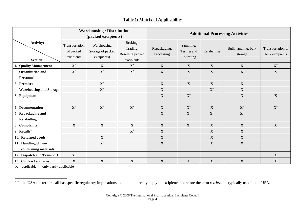|                                              | <b>Warehousing / Distribution</b><br>(packed excipients) |                                                  | <b>Additional Processing Activities</b>                |                            |                                        |                |                                |                                      |
|----------------------------------------------|----------------------------------------------------------|--------------------------------------------------|--------------------------------------------------------|----------------------------|----------------------------------------|----------------|--------------------------------|--------------------------------------|
| <b>Activity:</b><br><b>Section:</b>          | Transportation<br>of packed<br>excipients                | Warehousing<br>(storage of packed<br>excipients) | Broking,<br>Trading,<br>Reselling packed<br>excipients | Repackaging,<br>Processing | Sampling,<br>Testing and<br>Re-testing | Relabelling    | Bulk handling, bulk<br>storage | Transportation of<br>bulk excipients |
| 1. Quality Management                        | $\mathbf{X}^+$                                           | $\mathbf{X}$                                     | $\mathbf{X}^+$                                         | $\mathbf{X}$               | $\mathbf X$                            | $\mathbf{X}$   | $\mathbf{X}$                   | $\mathbf{X}^+$                       |
| 2. Organization and<br>Personnel             | $\mathbf{X}^+$                                           | $\mathbf{X}^+$                                   | $\mathbf{X}^+$                                         | $\mathbf X$                | $\mathbf X$                            | $\mathbf X$    | $\mathbf X$                    | $\mathbf X$                          |
| 3. Premises                                  |                                                          | $\mathbf{X}^+$                                   |                                                        | $\mathbf X$                | $\mathbf X$                            | $\mathbf X$    | $\mathbf X$                    |                                      |
| 4. Warehousing and Storage                   |                                                          | $\mathbf{X}^+$                                   |                                                        | $\mathbf X$                |                                        | $\mathbf{X}^+$ | $\mathbf{X}$                   |                                      |
| 5. Equipment                                 |                                                          |                                                  |                                                        | $\mathbf X$                | $\mathbf{X}^+$                         |                | $\mathbf X$                    | $\mathbf X$                          |
| 6. Documentation                             | $X^+$                                                    | $X^+$                                            | $\mathbf{X}^+$                                         | $\mathbf X$                | ${\bf X}^+$                            | $\mathbf X$    | $\mathbf{X}^+$                 | $\mathbf{X}^+$                       |
| 7. Repackaging and<br><b>Relabelling</b>     |                                                          |                                                  |                                                        | $\mathbf X$                | $\mathbf{X}^+$                         | $\mathbf{X}^+$ | $\mathbf{X}^+$                 |                                      |
| 8. Complaints                                | $\mathbf X$                                              | $\mathbf X$                                      | $\mathbf X$                                            | $\mathbf X$                | $\mathbf{X}^+$                         | $\mathbf X$    | $\mathbf X$                    | $\mathbf X$                          |
| 9. Recalls*                                  |                                                          |                                                  | $\mathbf{X}^+$                                         | $\mathbf X$                |                                        | $\mathbf X$    | $\mathbf X$                    |                                      |
| 10. Returned goods                           |                                                          | $\mathbf{X}$                                     |                                                        | $\mathbf X$                |                                        | $\mathbf X$    | $\mathbf{X}$                   |                                      |
| 11. Handling of non-<br>conforming materials |                                                          | $\mathbf{X}^+$                                   |                                                        | $\mathbf X$                |                                        | $\mathbf X$    | $\mathbf X$                    |                                      |
| 12. Dispatch and Transport                   | $\mathbf{X}^+$                                           |                                                  |                                                        |                            |                                        |                |                                | $\boldsymbol{\mathrm{X}}$            |
| 13. Contract activities                      | $\mathbf X$                                              | $\mathbf X$                                      | $\mathbf X$                                            | $\mathbf X$                | $\mathbf X$                            | $\mathbf X$    | $\mathbf X$                    | $\mathbf X$                          |

# **Table 1: Matrix of Applicability**

 $X =$  applicable  $+$  = only partly applicable

<span id="page-4-0"></span><sup>∗</sup> In the USA the term recall has specific regulatory implications that do not directly apply to excipients; therefore the term *retrieval* is typically used in the USA.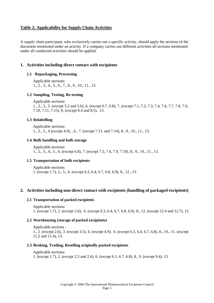# **Table 2: Applicability for Supply Chain Activities**

A supply chain participant, who exclusively carries out a specific activity, should apply the sections of the document mentioned under an activity. If a company carries out different activities all sections mentioned under all conducted activities should be applied.

# **1. Activities including direct contact with excipients**

# **1.1 Repackaging, Processing**

Applicable sections: 1., 2., 3., 4., 5., 6., 7., 8., 9., 10., 11., 13.

#### **1.2 Sampling, Testing, Re-testing**

 Applicable sections: 1., 2., 3., 5. (except 5.2 and 5.6); 6. (except 6.7, 6.8), 7. (except 7.1, 7.2, 7.3, 7.4, 7.6, 7.7, 7.8, 7.9, 7.10, 7.11, 7.15), 8. (except 8.4 and 8.5), 13.

# **1.3 Relabelling**

 Applicable sections: 1., 2., 3., 4 (except 4.9), , 6., 7. (except 7.13. and 7.14), 8., 9., 10., 11., 13.

#### **1.4 Bulk handling and bulk storage**

 Applicable sections: 1., 2., 3., 4., 5., 6. (except 6.8), 7. (except 7.5, 7.6, 7.9, 7.10), 8., 9., 10., 11., 13.

# **1.5 Transportation of bulk excipients**

 Applicable sections: 1. (except 1.7), 2., 5., 6. (except 6.3, 6.4, 6.7, 6.8, 6.9), 8., 12., 13.

# **2. Activities including non-direct contact with excipients (handling of packaged excipients)**

#### **2.1 Transportation of packed excipients**

 Applicable sections: 1. (except 1.7), 2. (except 2.6), 6. (except 6.3, 6.4, 6.7, 6.8, 6.9), 8., 12. (except 12.4 and 12.7), 13.

#### **2.2 Warehousing (storage of packed excipients)**

 Applicable sections : 1., 2. (except 2.6), 3. (except 3.5), 4. (except 4.9), 6. (except 6.3, 6.4, 6.7, 6.8), 8., 10., 11. (except 11.2 and 11.4), 13.

#### **2.3 Broking, Trading, Reselling originally packed excipients**

Applicable sections:

1. (except 1.7), 2. (except 2.5 and 2.6), 6. (except 6.1, 6.7, 6.8), 8., 9. (except 9.4), 13.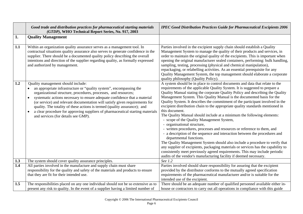|     | Good trade and distribution practices for pharmaceutical starting materials<br>(GTDP), WHO Technical Report Series, No. 917, 2003                                                                                                                                                                                                                                                                                                                                                                                                                                                      | <b>IPEC Good Distribution Practices Guide for Pharmaceutical Excipients 2006</b>                                                                                                                                                                                                                                                                                                                                                                                                                                                                                                                                                                                                                                                                                                                                                                                                                                                                                                                                                                                                                                                                                                  |
|-----|----------------------------------------------------------------------------------------------------------------------------------------------------------------------------------------------------------------------------------------------------------------------------------------------------------------------------------------------------------------------------------------------------------------------------------------------------------------------------------------------------------------------------------------------------------------------------------------|-----------------------------------------------------------------------------------------------------------------------------------------------------------------------------------------------------------------------------------------------------------------------------------------------------------------------------------------------------------------------------------------------------------------------------------------------------------------------------------------------------------------------------------------------------------------------------------------------------------------------------------------------------------------------------------------------------------------------------------------------------------------------------------------------------------------------------------------------------------------------------------------------------------------------------------------------------------------------------------------------------------------------------------------------------------------------------------------------------------------------------------------------------------------------------------|
| 1.  | <b>Quality Management</b>                                                                                                                                                                                                                                                                                                                                                                                                                                                                                                                                                              |                                                                                                                                                                                                                                                                                                                                                                                                                                                                                                                                                                                                                                                                                                                                                                                                                                                                                                                                                                                                                                                                                                                                                                                   |
| 1.1 | Within an organization quality assurance serves as a management tool. In<br>contractual situations quality assurance also serves to generate confidence in the<br>supplier. There should be a documented quality policy describing the overall<br>intentions and direction of the supplier regarding quality, as formally expressed<br>and authorized by management.                                                                                                                                                                                                                   | Parties involved in the excipient supply chain should establish a Quality<br>Management System to manage the quality of their products and services, in<br>order to maintain the original quality of the excipients. This is important when<br>opening the original manufacturer sealed containers, performing: bulk handling,<br>sampling, testing, processing (physical and chemical manipulation),<br>repackaging, or relabelling activities. As an essential prerequisite for any<br>Quality Management System, the top management should elaborate a corporate<br>quality philosophy (Quality Policy).                                                                                                                                                                                                                                                                                                                                                                                                                                                                                                                                                                       |
| 1.2 | Quality management should include:<br>an appropriate infrastructure or "quality system", encompassing the<br>$\bullet$<br>organizational structure, procedures, processes, and resources;<br>systematic actions necessary to ensure adequate confidence that a material<br>$\bullet$<br>(or service) and relevant documentation will satisfy given requirements for<br>quality. The totality of these actions is termed (quality assurance); and<br>a clear procedure for approving suppliers of pharmaceutical starting materials<br>$\bullet$<br>and services (for details see GMP). | A system should be in place to control documents and data that relate to the<br>requirements of the applicable Quality System. It is suggested to prepare a<br>Quality Manual stating the corporate Quality Policy and describing the Quality<br>Management System. This Quality Manual is the documented basis for the<br>Quality System. It describes the commitment of the participant involved in the<br>excipient distribution chain to the appropriate quality standards mentioned in<br>this document.<br>The Quality Manual should include at a minimum the following elements:<br>- scope of the Quality Management System,<br>- organisational structure,<br>- written procedures, processes and resources or reference to them, and<br>- a description of the sequence and interaction between the procedures and<br>departmental functions.<br>The Quality Management System should also include a procedure to verify that<br>any supplier of excipients, packaging materials or services has the capability to<br>consistently meet previously agreed requirements. This may include periodic<br>audits of the vendor's manufacturing facility if deemed necessary. |
| 1.3 | The system should cover quality assurance principles.                                                                                                                                                                                                                                                                                                                                                                                                                                                                                                                                  | See 1.2                                                                                                                                                                                                                                                                                                                                                                                                                                                                                                                                                                                                                                                                                                                                                                                                                                                                                                                                                                                                                                                                                                                                                                           |
| 1.4 | All parties involved in the manufacture and supply chain must share<br>responsibility for the quality and safety of the materials and products to ensure<br>that they are fit for their intended use.                                                                                                                                                                                                                                                                                                                                                                                  | Parties involved should share responsibility for assuring that the excipient<br>provided by the distributor conforms to the mutually agreed specification<br>requirements of the pharmaceutical manufacturer and/or is suitable for the<br>intended use of the excipient.                                                                                                                                                                                                                                                                                                                                                                                                                                                                                                                                                                                                                                                                                                                                                                                                                                                                                                         |
| 1.5 | The responsibilities placed on any one individual should not be so extensive as to<br>present any risk to quality. In the event of a supplier having a limited number of                                                                                                                                                                                                                                                                                                                                                                                                               | There should be an adequate number of qualified personnel available either in-<br>house or contractors to carry out all operations in compliance with this guide                                                                                                                                                                                                                                                                                                                                                                                                                                                                                                                                                                                                                                                                                                                                                                                                                                                                                                                                                                                                                  |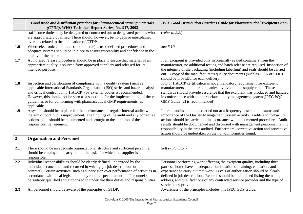|                | Good trade and distribution practices for pharmaceutical starting materials<br>(GTDP), WHO Technical Report Series, No. 917, 2003                                                                                                                                                                                                                                                                                                                                                        | <b>IPEC Good Distribution Practices Guide for Pharmaceutical Excipients 2006</b>                                                                                                                                                                                                                                                                                                                                                                                                              |
|----------------|------------------------------------------------------------------------------------------------------------------------------------------------------------------------------------------------------------------------------------------------------------------------------------------------------------------------------------------------------------------------------------------------------------------------------------------------------------------------------------------|-----------------------------------------------------------------------------------------------------------------------------------------------------------------------------------------------------------------------------------------------------------------------------------------------------------------------------------------------------------------------------------------------------------------------------------------------------------------------------------------------|
|                | staff, some duties may be delegated or contracted out to designated persons who<br>are appropriately qualified. There should, however, be no gaps or unexplained<br>overlaps related to the application of GTDP                                                                                                                                                                                                                                                                          | (refer to $2.2$ .)                                                                                                                                                                                                                                                                                                                                                                                                                                                                            |
| 1.6            | Where electronic commerce (e-commerce) is used defined procedures and<br>adequate systems should be in place to ensure traceability and confidence in the<br>quality of the material.                                                                                                                                                                                                                                                                                                    | See 6.10.                                                                                                                                                                                                                                                                                                                                                                                                                                                                                     |
| 1.7            | Authorized release procedures should be in place to ensure that material of an<br>appropriate quality is sourced from approved suppliers and released for its<br>intended purpose.                                                                                                                                                                                                                                                                                                       | If an excipient is provided only in originally sealed containers from the<br>manufacturer, no additional testing and batch release are required. Inspection of<br>the integrity of the packaging (including labelling) and seals should be carried<br>out. A copy of the manufacturer's quality documents (such as COA or COC)<br>should be provided for each delivery.                                                                                                                       |
| 1.8            | Inspection and certification of compliance with a quality system (such as<br>applicable International Standards Organization (ISO) series and hazard analysis<br>and critical control point (HACCP)) by external bodies is recommended.<br>However, this should not be seen as a substitute for the implementation of these<br>guidelines or for conforming with pharmaceutical GMP requirements, as<br>applicable.                                                                      | ISO or HACCP certification is not a mandatory requirement for excipient<br>manufacturers and other companies involved in the supply chain. These<br>standards should provide assurance that the excipient was produced and handled<br>in conformance with an appropriate quality management system (IPEC PQG<br>GMP Guide [2] is recommended).                                                                                                                                                |
| 1.9            | A system should be in place for the performance of regular internal audits with<br>the aim of continuous improvement. The findings of the audit and any corrective<br>actions taken should be documented and brought to the attention of the<br>responsible management.                                                                                                                                                                                                                  | Internal audits should be carried out at a frequency based on the status and<br>importance of the Quality Management System activity. Audits and follow up<br>actions should be carried out in accordance with documented procedures. Audit<br>results should be documented and discussed with management personnel having<br>responsibility in the area audited. Furthermore, corrective action and preventive<br>action should be undertaken on the non-conformities found.                 |
| $\overline{2}$ | <b>Organization and Personnel</b>                                                                                                                                                                                                                                                                                                                                                                                                                                                        |                                                                                                                                                                                                                                                                                                                                                                                                                                                                                               |
| 2.1            | There should be an adequate organizational structure and sufficient personnel<br>should be employed to carry out all the tasks for which the supplier is<br>responsible.                                                                                                                                                                                                                                                                                                                 | Self explanatory                                                                                                                                                                                                                                                                                                                                                                                                                                                                              |
| 2.2<br>2.3     | Individual responsibilities should be clearly defined, understood by the<br>individuals concerned and recorded in writing (as job descriptions or in a<br>contract). Certain activities, such as supervision over performance of activities in<br>accordance with local legislation, may require special attention. Personnel should<br>be suitably qualified and authorized to undertake their duties and responsibilities.<br>All personnel should be aware of the principles of GTDP. | Personnel performing work affecting the excipient quality, including third<br>parties, should have an adequate combination of training, education, and<br>experience to carry out that work. Levels of authorization should be clearly<br>defined in job descriptions. Records should be maintained listing the name,<br>address, and qualifications of any contracted service provider and the type of<br>service they provide.<br>Awareness of the principles includes this IPEC GDP Guide. |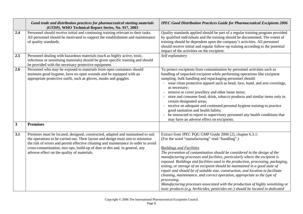|                     | Good trade and distribution practices for pharmaceutical starting materials<br>(GTDP), WHO Technical Report Series, No. 917, 2003                                                                                                                                                                  | <b>IPEC Good Distribution Practices Guide for Pharmaceutical Excipients 2006</b>                                                                                                                                                                                                                                                                                                                                                                                                                                                                                                                                                                                                                                                                                       |
|---------------------|----------------------------------------------------------------------------------------------------------------------------------------------------------------------------------------------------------------------------------------------------------------------------------------------------|------------------------------------------------------------------------------------------------------------------------------------------------------------------------------------------------------------------------------------------------------------------------------------------------------------------------------------------------------------------------------------------------------------------------------------------------------------------------------------------------------------------------------------------------------------------------------------------------------------------------------------------------------------------------------------------------------------------------------------------------------------------------|
| 2.4                 | Personnel should receive initial and continuing training relevant to their tasks.<br>All personnel should be motivated to support the establishment and maintenance<br>of quality standards.                                                                                                       | Quality standards applied should be part of a regular training program provided<br>by qualified individuals and the training should be documented. The extent of<br>training should be dependent upon the company's activities. All personnel<br>should receive initial and regular follow-up training according to the potential<br>impact of the activities on the excipient.                                                                                                                                                                                                                                                                                                                                                                                        |
| 2.5                 | Personnel dealing with hazardous materials (such as highly active, toxic,<br>infectious or sensitising materials) should be given specific training and should<br>be provided with the necessary protective equipment.                                                                             | Self explanatory                                                                                                                                                                                                                                                                                                                                                                                                                                                                                                                                                                                                                                                                                                                                                       |
| 2.6<br>$\mathbf{3}$ | Personnel who may be exposed to materials from open containers should<br>maintain good hygiene, have no open wounds and be equipped with an<br>appropriate protective outfit, such as gloves, masks and goggles.<br><b>Premises</b>                                                                | To protect excipients from contamination by personnel activities such as<br>handling of unpacked excipient while performing operations like excipient<br>sampling, bulk handling and repackaging personnel should:<br>- wear clean protective apparel such as head, face, hand, and arm coverings,<br>as necessary;<br>remove or cover jewellery and other loose items;<br>store and consume food, drink, tobacco products and similar items only in<br>certain designated areas;<br>receive an adequate and continued personal hygiene training to practice<br>good sanitation and health habits;<br>be instructed to report to supervisory personnel any health conditions that<br>may have an adverse effect on excipients.                                         |
| 3.1                 | Premises must be located, designed, constructed, adapted and maintained to suit                                                                                                                                                                                                                    | Extract from IPEC PQG GMP Guide 2006 [2], chapter 6.3.1:                                                                                                                                                                                                                                                                                                                                                                                                                                                                                                                                                                                                                                                                                                               |
|                     | the operations to be carried out. Their layout and design must aim to minimize<br>the risk of errors and permit effective cleaning and maintenance in order to avoid<br>cross-contamination, mix-ups, build-up of dust or dirt and, in general, any<br>adverse effect on the quality of materials. | (For the word "manufacturing" read "handling".)<br><b>Buildings and Facilities</b><br>The prevention of contamination should be considered in the design of the<br>manufacturing processes and facilities, particularly where the excipient is<br>exposed. Buildings and facilities used in the production, processing, packaging,<br>testing, or storage of an excipient should be maintained in a good state of<br>repair and should be of suitable size, construction, and location to facilitate<br>cleaning, maintenance, and correct operation, appropriate to the type of<br>processing.<br>Manufacturing processes associated with the production of highly sensitizing or<br>toxic products (e.g. herbicides, pesticides etc.) should be located in dedicated |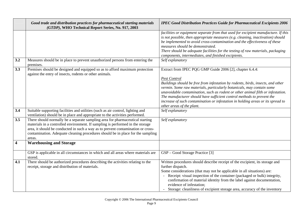|                         | Good trade and distribution practices for pharmaceutical starting materials<br>(GTDP), WHO Technical Report Series, No. 917, 2003                                                                                                                                                                                                                | <b>IPEC Good Distribution Practices Guide for Pharmaceutical Excipients 2006</b>                                                                                                                                                                                                                                                                                                                                                                                                                                         |
|-------------------------|--------------------------------------------------------------------------------------------------------------------------------------------------------------------------------------------------------------------------------------------------------------------------------------------------------------------------------------------------|--------------------------------------------------------------------------------------------------------------------------------------------------------------------------------------------------------------------------------------------------------------------------------------------------------------------------------------------------------------------------------------------------------------------------------------------------------------------------------------------------------------------------|
|                         |                                                                                                                                                                                                                                                                                                                                                  | facilities or equipment separate from that used for excipient manufacture. If this<br>is not possible, then appropriate measures (e.g. cleaning, inactivation) should<br>be implemented to avoid cross-contamination and the effectiveness of these<br>measures should be demonstrated.<br>There should be adequate facilities for the testing of raw materials, packaging<br>components, intermediates, and finished excipients.                                                                                        |
| 3.2                     | Measures should be in place to prevent unauthorized persons from entering the<br>premises.                                                                                                                                                                                                                                                       | Self explanatory                                                                                                                                                                                                                                                                                                                                                                                                                                                                                                         |
| 3.3                     | Premises should be designed and equipped so as to afford maximum protection<br>against the entry of insects, rodents or other animals.                                                                                                                                                                                                           | Extract from IPEC PQG GMP Guide 2006 [2], chapter 6.4.4:<br><b>Pest Control</b><br>Buildings should be free from infestation by rodents, birds, insects, and other<br>vermin. Some raw materials, particularly botanicals, may contain some<br>unavoidable contamination, such as rodent or other animal filth or infestation.<br>The manufacturer should have sufficient control methods to prevent the<br>increase of such contamination or infestation in holding areas or its spread to<br>other areas of the plant. |
| 3.4                     | Suitable supporting facilities and utilities (such as air control, lighting and<br>ventilation) should be in place and appropriate to the activities performed.                                                                                                                                                                                  | Self explanatory                                                                                                                                                                                                                                                                                                                                                                                                                                                                                                         |
| 3.5                     | There should normally be a separate sampling area for pharmaceutical starting<br>materials in a controlled environment. If sampling is performed in the storage<br>area, it should be conducted in such a way as to prevent contamination or cross-<br>contamination. Adequate cleaning procedures should be in place for the sampling<br>areas. | Self explanatory                                                                                                                                                                                                                                                                                                                                                                                                                                                                                                         |
| $\overline{\mathbf{4}}$ | <b>Warehousing and Storage</b>                                                                                                                                                                                                                                                                                                                   |                                                                                                                                                                                                                                                                                                                                                                                                                                                                                                                          |
|                         | GSP is applicable in all circumstances in which and all areas where materials are<br>stored.                                                                                                                                                                                                                                                     | GSP – Good Storage Practice [3]                                                                                                                                                                                                                                                                                                                                                                                                                                                                                          |
| 4.1                     | There should be authorized procedures describing the activities relating to the<br>receipt, storage and distribution of materials.                                                                                                                                                                                                               | Written procedures should describe receipt of the excipient, its storage and<br>further dispatch.<br>Some considerations (that may not be applicable in all situations) are:<br>Receipt: visual inspection of the container (packaged or bulk) integrity,<br>confirmation of material identity from the label against documentation,<br>evidence of infestation;<br>- Storage: cleanliness of excipient storage area, accuracy of the inventory                                                                          |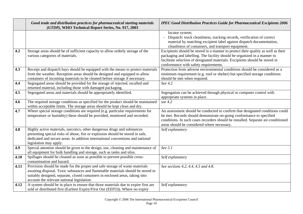|      | Good trade and distribution practices for pharmaceutical starting materials<br>(GTDP), WHO Technical Report Series, No. 917, 2003                                                                                                                                                             | <b>IPEC Good Distribution Practices Guide for Pharmaceutical Excipients 2006</b>                                                                                                                                                                                                          |
|------|-----------------------------------------------------------------------------------------------------------------------------------------------------------------------------------------------------------------------------------------------------------------------------------------------|-------------------------------------------------------------------------------------------------------------------------------------------------------------------------------------------------------------------------------------------------------------------------------------------|
|      |                                                                                                                                                                                                                                                                                               | locator system;<br>Dispatch: truck cleanliness, tracking records, verification of correct<br>material by matching excipient label against dispatch documentation,<br>cleanliness of containers, and transport equipment.                                                                  |
| 4.2  | Storage areas should be of sufficient capacity to allow orderly storage of the<br>various categories of materials.                                                                                                                                                                            | Excipients should be stored in a manner to protect their quality as well as their<br>packaging and labelling. The facility should be organized in a manner to<br>facilitate selection of designated materials. Excipients should be stored in<br>conformance with safety requirements.    |
| 4.3  | Receipt and dispatch bays should be equipped with the means to protect materials<br>from the weather. Reception areas should be designed and equipped to allow<br>containers of incoming materials to be cleaned before storage if necessary.                                                 | Protection from adverse environmental conditions should be considered as a<br>minimum requirement (e.g. roof or shelter) but specified storage conditions<br>should be met when required.                                                                                                 |
| 4.4  | Segregated areas should be provided for the storage of rejected, recalled and<br>returned material, including those with damaged packaging.                                                                                                                                                   | See 4.2                                                                                                                                                                                                                                                                                   |
| 4.5  | Segregated areas and materials should be appropriately identified.                                                                                                                                                                                                                            | Segregation can be achieved through physical or computer control with<br>appropriate systems in place.                                                                                                                                                                                    |
| 4.6  | The required storage conditions as specified for the product should be maintained<br>within acceptable limits. The storage areas should be kept clean and dry.                                                                                                                                | see 4.2                                                                                                                                                                                                                                                                                   |
| 4.7  | Where special storage conditions are required (e.g. particular requirements for<br>temperature or humidity) these should be provided, monitored and recorded.                                                                                                                                 | An assessment should be conducted to confirm that designated conditions could<br>be met. Records should demonstrate on-going conformance to specified<br>conditions. In such cases recorders should be installed. Separate air-conditioned<br>areas should be considered where necessary. |
| 4.8  | Highly active materials, narcotics, other dangerous drugs and substances<br>presenting special risks of abuse, fire or explosion should be stored in safe,<br>dedicated and secure areas. In addition international conventions and national<br>legislation may apply.                        | Self explanatory                                                                                                                                                                                                                                                                          |
| 4.9  | Special attention should be given to the design, use, cleaning and maintenance of<br>all equipment for bulk handling and storage, such as tanks and silos.                                                                                                                                    | See 5.1                                                                                                                                                                                                                                                                                   |
| 4.10 | Spillages should be cleaned as soon as possible to prevent possible cross-<br>contamination and hazard.                                                                                                                                                                                       | Self explanatory                                                                                                                                                                                                                                                                          |
| 4.11 | Provision should be made for the proper and safe storage of waste materials<br>awaiting disposal. Toxic substances and flammable materials should be stored in<br>suitably designed, separate, closed containers in enclosed areas, taking into<br>account the relevant national legislation. | See sections 4.2, 4.4, 4.5 and 4.8.                                                                                                                                                                                                                                                       |
| 4.12 | A system should be in place to ensure that those materials due to expire first are<br>sold or distributed first (Earliest Expiry/First Out (EEFO)). Where no expiry                                                                                                                           | Self explanatory                                                                                                                                                                                                                                                                          |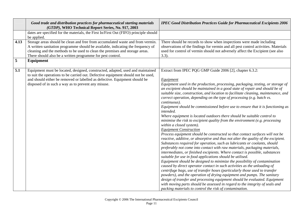|                | Good trade and distribution practices for pharmaceutical starting materials<br>(GTDP), WHO Technical Report Series, No. 917, 2003                                                                                                                                                                                              | <b>IPEC Good Distribution Practices Guide for Pharmaceutical Excipients 2006</b>                                                                                                                                                                                                                                                                                                                                                                                                                                                                                                                                                                                                                                                                                                                                                                                                                                                                                                                                                                                                                                                                                                                                                                                                                                                                                                                                                                                                                                                                                                                                                                                                                                                                                          |
|----------------|--------------------------------------------------------------------------------------------------------------------------------------------------------------------------------------------------------------------------------------------------------------------------------------------------------------------------------|---------------------------------------------------------------------------------------------------------------------------------------------------------------------------------------------------------------------------------------------------------------------------------------------------------------------------------------------------------------------------------------------------------------------------------------------------------------------------------------------------------------------------------------------------------------------------------------------------------------------------------------------------------------------------------------------------------------------------------------------------------------------------------------------------------------------------------------------------------------------------------------------------------------------------------------------------------------------------------------------------------------------------------------------------------------------------------------------------------------------------------------------------------------------------------------------------------------------------------------------------------------------------------------------------------------------------------------------------------------------------------------------------------------------------------------------------------------------------------------------------------------------------------------------------------------------------------------------------------------------------------------------------------------------------------------------------------------------------------------------------------------------------|
|                | dates are specified for the materials, the First In/First Out (FIFO) principle should                                                                                                                                                                                                                                          |                                                                                                                                                                                                                                                                                                                                                                                                                                                                                                                                                                                                                                                                                                                                                                                                                                                                                                                                                                                                                                                                                                                                                                                                                                                                                                                                                                                                                                                                                                                                                                                                                                                                                                                                                                           |
| 4.13           | be applied.<br>Storage areas should be clean and free from accumulated waste and from vermin.<br>A written sanitation programme should be available, indicating the frequency of<br>cleaning and the methods to be used to clean the premises and storage areas.<br>There should also be a written programme for pest control. | There should be records to show when inspections were made including<br>observations of the findings for vermin and all pest control activities. Materials<br>used for control of vermin should not adversely affect the Excipient (see also<br>$3.3$ ).                                                                                                                                                                                                                                                                                                                                                                                                                                                                                                                                                                                                                                                                                                                                                                                                                                                                                                                                                                                                                                                                                                                                                                                                                                                                                                                                                                                                                                                                                                                  |
| $\overline{5}$ | Equipment                                                                                                                                                                                                                                                                                                                      |                                                                                                                                                                                                                                                                                                                                                                                                                                                                                                                                                                                                                                                                                                                                                                                                                                                                                                                                                                                                                                                                                                                                                                                                                                                                                                                                                                                                                                                                                                                                                                                                                                                                                                                                                                           |
| 5.1            | Equipment must be located, designed, constructed, adapted, used and maintained<br>to suit the operations to be carried out. Defective equipment should not be used,<br>and should either be removed or labelled as defective. Equipment should be<br>disposed of in such a way as to prevent any misuse.                       | Extract from IPEC PQG GMP Guide 2006 [2], chapter 6.3.2:<br>Equipment<br>Equipment used in the production, processing, packaging, testing, or storage of<br>an excipient should be maintained in a good state of repair and should be of<br>suitable size, construction, and location to facilitate cleaning, maintenance, and<br>correct operation, depending on the type of processing (e.g. batch vs.<br>continuous).<br>Equipment should be commissioned before use to ensure that it is functioning as<br>intended.<br>Where equipment is located outdoors there should be suitable control to<br>minimise the risk to excipient quality from the environment (e.g. processing<br>within a closed system).<br><b>Equipment Construction</b><br>Process equipment should be constructed so that contact surfaces will not be<br>reactive, additive, or absorptive and thus not alter the quality of the excipient.<br>Substances required for operation, such as lubricants or coolants, should<br>preferably not come into contact with raw materials, packaging materials,<br>intermediates, or finished excipients. Where contact is possible, substances<br>suitable for use in food applications should be utilised.<br>Equipment should be designed to minimize the possibility of contamination<br>caused by direct operator contact in such activities as the unloading of<br>centrifuge bags, use of transfer hoses (particularly those used to transfer<br>powders), and the operation of drying equipment and pumps. The sanitary<br>design of transfer and processing equipment should be evaluated. Equipment<br>with moving parts should be assessed in regard to the integrity of seals and<br>packing materials to control the risk of contamination. |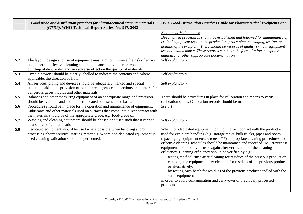|     | Good trade and distribution practices for pharmaceutical starting materials<br>(GTDP), WHO Technical Report Series, No. 917, 2003                                                                                                             | <b>IPEC Good Distribution Practices Guide for Pharmaceutical Excipients 2006</b>                                                                                                                                                                                                                                                                                                                                                                                                                                                                                                                                                                                                                                                                                                                                                                            |
|-----|-----------------------------------------------------------------------------------------------------------------------------------------------------------------------------------------------------------------------------------------------|-------------------------------------------------------------------------------------------------------------------------------------------------------------------------------------------------------------------------------------------------------------------------------------------------------------------------------------------------------------------------------------------------------------------------------------------------------------------------------------------------------------------------------------------------------------------------------------------------------------------------------------------------------------------------------------------------------------------------------------------------------------------------------------------------------------------------------------------------------------|
| 5.2 | The layout, design and use of equipment must aim to minimize the risk of errors                                                                                                                                                               | <b>Equipment Maintenance</b><br>Documented procedures should be established and followed for maintenance of<br>critical equipment used in the production, processing, packaging, testing, or<br>holding of the excipient. There should be records of quality critical equipment<br>use and maintenance. These records can be in the form of a log, computer<br>database, or other appropriate documentation.<br>Self explanatory                                                                                                                                                                                                                                                                                                                                                                                                                            |
|     | and to permit effective cleaning and maintenance to avoid cross-contamination,<br>build-up of dust or dirt and any adverse effect on the quality of materials.                                                                                |                                                                                                                                                                                                                                                                                                                                                                                                                                                                                                                                                                                                                                                                                                                                                                                                                                                             |
| 5.3 | Fixed pipework should be clearly labelled to indicate the contents and, where<br>applicable, the direction of flow.                                                                                                                           | Self explanatory                                                                                                                                                                                                                                                                                                                                                                                                                                                                                                                                                                                                                                                                                                                                                                                                                                            |
| 5.4 | All services, piping and devices should be adequately marked and special<br>attention paid to the provision of non-interchangeable connections or adaptors for<br>dangerous gases, liquids and other materials.                               | Self explanatory                                                                                                                                                                                                                                                                                                                                                                                                                                                                                                                                                                                                                                                                                                                                                                                                                                            |
| 5.5 | Balances and other measuring equipment of an appropriate range and precision<br>should be available and should be calibrated on a scheduled basis.                                                                                            | There should be procedures in place for calibration and means to verify<br>calibration status. Calibration records should be maintained.                                                                                                                                                                                                                                                                                                                                                                                                                                                                                                                                                                                                                                                                                                                    |
| 5.6 | Procedures should be in place for the operation and maintenance of equipment.<br>Lubricants and other materials used on surfaces that come into direct contact with<br>the materials should be of the appropriate grade, e.g. food-grade oil. | See 5.1.                                                                                                                                                                                                                                                                                                                                                                                                                                                                                                                                                                                                                                                                                                                                                                                                                                                    |
| 5.7 | Washing and cleaning equipment should be chosen and used such that it cannot<br>be a source of contamination.                                                                                                                                 | Self explanatory                                                                                                                                                                                                                                                                                                                                                                                                                                                                                                                                                                                                                                                                                                                                                                                                                                            |
| 5.8 | Dedicated equipment should be used where possible when handling and/or<br>processing pharmaceutical starting materials. Where non-dedicated equipment is<br>used cleaning validation should be performed.                                     | When non-dedicated equipment coming in direct contact with the product is<br>used for excipient handling (e.g. storage tanks, bulk trucks, pipes and hoses,<br>repackaging equipment etc.; see also 7.7), appropriate cleaning procedures and<br>effective cleaning schedules should be maintained and recorded. Multi-purpose<br>equipment should only be used again after verification of the cleaning<br>efficiency. Cleaning efficiency should be verified by e.g.:<br>- testing the final rinse after cleaning for residues of the previous product or,<br>- checking the equipment after cleaning for residues of the previous product<br>or alternatively,<br>- by testing each batch for residues of the previous product handled with the<br>same equipment<br>in order to avoid contamination and carry-over of previously processed<br>products. |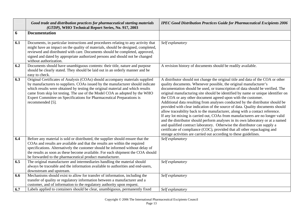|     | Good trade and distribution practices for pharmaceutical starting materials<br>(GTDP), WHO Technical Report Series, No. 917, 2003                                                                                                                                                                                                                                                                                           | <b>IPEC Good Distribution Practices Guide for Pharmaceutical Excipients 2006</b>                                                                                                                                                                                                                                                                                                                                                                                                                                                                                                                                                                                                                                                                                                                                                                                                                                                                                                                                                                 |
|-----|-----------------------------------------------------------------------------------------------------------------------------------------------------------------------------------------------------------------------------------------------------------------------------------------------------------------------------------------------------------------------------------------------------------------------------|--------------------------------------------------------------------------------------------------------------------------------------------------------------------------------------------------------------------------------------------------------------------------------------------------------------------------------------------------------------------------------------------------------------------------------------------------------------------------------------------------------------------------------------------------------------------------------------------------------------------------------------------------------------------------------------------------------------------------------------------------------------------------------------------------------------------------------------------------------------------------------------------------------------------------------------------------------------------------------------------------------------------------------------------------|
| 6   | <b>Documentation</b>                                                                                                                                                                                                                                                                                                                                                                                                        |                                                                                                                                                                                                                                                                                                                                                                                                                                                                                                                                                                                                                                                                                                                                                                                                                                                                                                                                                                                                                                                  |
| 6.1 | Documents, in particular instructions and procedures relating to any activity that<br>might have an impact on the quality of materials, should be designed, completed,<br>reviewed and distributed with care. Documents should be completed, approved,<br>signed and dated by appropriate authorized persons and should not be changed<br>without authorization.                                                            | Self explanatory                                                                                                                                                                                                                                                                                                                                                                                                                                                                                                                                                                                                                                                                                                                                                                                                                                                                                                                                                                                                                                 |
| 6.2 | Documents should have unambiguous contents: their title, nature and purpose<br>should be clearly stated. They should be laid out in an orderly manner and be<br>easy to check.                                                                                                                                                                                                                                              | A revision history of documents should be readily available.                                                                                                                                                                                                                                                                                                                                                                                                                                                                                                                                                                                                                                                                                                                                                                                                                                                                                                                                                                                     |
| 6.3 | Original Certificates of Analysis (COAs) should accompany materials supplied<br>by manufacturers to suppliers. COAs issued by the manufacturer should indicate<br>which results were obtained by testing the original material and which results<br>came from skip lot testing. The use of the Model COA as adopted by the WHO<br>Expert Committee on Specifications for Pharmaceutical Preparations is<br>recommended [5]. | A distributor should not change the original title and data of the COA or other<br>quality documents. Whenever possible, the original manufacturer's<br>documentation should be used, or transcription of data should be verified. The<br>original manufacturing site should be identified by name or unique identifier on<br>the COA or any other document agreed upon with the customer.<br>Additional data resulting from analyses conducted by the distributor should be<br>provided with clear indication of the source of data. Quality documents should<br>allow traceability back to the manufacturer, along with a contact reference.<br>If any lot mixing is carried out, COAs from manufacturers are no longer valid<br>and the distributor should perform analyses in its own laboratory or at a named<br>and qualified contract laboratory. Otherwise the distributor can supply a<br>certificate of compliance (COC), provided that all other repackaging and<br>storage activities are carried out according to these guidelines. |
| 6.4 | Before any material is sold or distributed, the supplier should ensure that the<br>COAs and results are available and that the results are within the required<br>specifications. Alternatively the customer should be informed without delay of<br>the results as soon as these become available. For each shipment the COA should<br>be forwarded to the pharmaceutical product manufacturer.                             | Self explanatory                                                                                                                                                                                                                                                                                                                                                                                                                                                                                                                                                                                                                                                                                                                                                                                                                                                                                                                                                                                                                                 |
| 6.5 | The original manufacturer and intermediaries handling the material should<br>always be traceable and the information available to authorities and end-users,<br>downstream and upstream.                                                                                                                                                                                                                                    | Self explanatory                                                                                                                                                                                                                                                                                                                                                                                                                                                                                                                                                                                                                                                                                                                                                                                                                                                                                                                                                                                                                                 |
| 6.6 | Mechanisms should exist to allow for transfer of information, including the<br>transfer of quality or regulatory information between a manufacturer and a<br>customer, and of information to the regulatory authority upon request.                                                                                                                                                                                         | Self explanatory                                                                                                                                                                                                                                                                                                                                                                                                                                                                                                                                                                                                                                                                                                                                                                                                                                                                                                                                                                                                                                 |
| 6.7 | Labels applied to containers should be clear, unambiguous, permanently fixed                                                                                                                                                                                                                                                                                                                                                | Self explanatory                                                                                                                                                                                                                                                                                                                                                                                                                                                                                                                                                                                                                                                                                                                                                                                                                                                                                                                                                                                                                                 |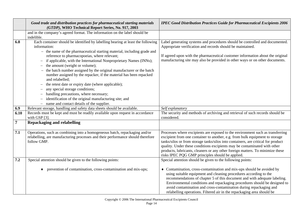|                | Good trade and distribution practices for pharmaceutical starting materials<br>(GTDP), WHO Technical Report Series, No. 917, 2003                                                                                                                                                                                                                                                                                                                                                                                                                                                                                                                                                                                                                                                                                                | <b>IPEC Good Distribution Practices Guide for Pharmaceutical Excipients 2006</b>                                                                                                                                                                                                                                                                                                                                                                                       |
|----------------|----------------------------------------------------------------------------------------------------------------------------------------------------------------------------------------------------------------------------------------------------------------------------------------------------------------------------------------------------------------------------------------------------------------------------------------------------------------------------------------------------------------------------------------------------------------------------------------------------------------------------------------------------------------------------------------------------------------------------------------------------------------------------------------------------------------------------------|------------------------------------------------------------------------------------------------------------------------------------------------------------------------------------------------------------------------------------------------------------------------------------------------------------------------------------------------------------------------------------------------------------------------------------------------------------------------|
|                | and in the company's agreed format. The information on the label should be<br>indelible.                                                                                                                                                                                                                                                                                                                                                                                                                                                                                                                                                                                                                                                                                                                                         |                                                                                                                                                                                                                                                                                                                                                                                                                                                                        |
| 6.8            | Each container should be identified by labelling bearing at least the following<br>information:<br>- the name of the pharmaceutical starting material, including grade and<br>reference to pharmacopoeias, where relevant;<br>if applicable, with the International Nonproprietary Names (INNs);<br>$\overline{\phantom{m}}$<br>the amount (weight or volume);<br>$\overline{\phantom{m}}$<br>the batch number assigned by the original manufacturer or the batch<br>number assigned by the repacker, if the material has been repacked<br>and relabelled;<br>the retest date or expiry date (where applicable);<br>any special storage conditions;<br>$\overline{\phantom{m}}$<br>handling precautions, where necessary;<br>identification of the original manufacturing site; and<br>name and contact details of the supplier. | Label generating systems and procedures should be controlled and documented.<br>Appropriate verification and records should be maintained.<br>If agreed upon with the pharmaceutical customer information about the original<br>manufacturing site may also be provided in other ways or on other documents.                                                                                                                                                           |
| 6.9            | Relevant storage, handling and safety data sheets should be available.                                                                                                                                                                                                                                                                                                                                                                                                                                                                                                                                                                                                                                                                                                                                                           | Self explanatory                                                                                                                                                                                                                                                                                                                                                                                                                                                       |
| 6.10           | Records must be kept and must be readily available upon request in accordance<br>with GSP [3].                                                                                                                                                                                                                                                                                                                                                                                                                                                                                                                                                                                                                                                                                                                                   | The security and methods of archiving and retrieval of such records should be<br>considered.                                                                                                                                                                                                                                                                                                                                                                           |
| $\overline{7}$ | <b>Repackaging and relabelling</b>                                                                                                                                                                                                                                                                                                                                                                                                                                                                                                                                                                                                                                                                                                                                                                                               |                                                                                                                                                                                                                                                                                                                                                                                                                                                                        |
| 7.1            | Operations, such as combining into a homogeneous batch, repackaging and/or<br>relabelling, are manufacturing processes and their performance should therefore<br>follow GMP.                                                                                                                                                                                                                                                                                                                                                                                                                                                                                                                                                                                                                                                     | Processes where excipients are exposed to the environment such as transferring<br>excipient from one container to another, e.g. from bulk equipment to storage<br>tanks/silos or from storage tanks/silos into containers, are critical for product<br>quality. Under these conditions excipients may be contaminated with other<br>products, lubricants, cleaners or any other foreign matters. To minimize these<br>risks IPEC PQG GMP principles should be applied. |
| 7.2            | Special attention should be given to the following points:                                                                                                                                                                                                                                                                                                                                                                                                                                                                                                                                                                                                                                                                                                                                                                       | Special attention should be given to the following points:                                                                                                                                                                                                                                                                                                                                                                                                             |
|                | prevention of contamination, cross-contamination and mix-ups;                                                                                                                                                                                                                                                                                                                                                                                                                                                                                                                                                                                                                                                                                                                                                                    | Contamination, cross-contamination and mix-ups should be avoided by<br>using suitable equipment and cleaning procedures according to the<br>recommendations of chapter 5 of this document and with adequate labeling.<br>Environmental conditions and repackaging procedures should be designed to<br>avoid contamination and cross-contamination during repackaging and<br>relabelling operations. Filtered air in the repackaging area should be                     |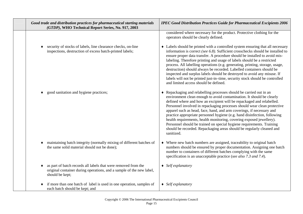| Good trade and distribution practices for pharmaceutical starting materials<br>(GTDP), WHO Technical Report Series, No. 917, 2003                         | <b>IPEC Good Distribution Practices Guide for Pharmaceutical Excipients 2006</b>                                                                                                                                                                                                                                                                                                                                                                                                                                                                                                                                                                                                                |
|-----------------------------------------------------------------------------------------------------------------------------------------------------------|-------------------------------------------------------------------------------------------------------------------------------------------------------------------------------------------------------------------------------------------------------------------------------------------------------------------------------------------------------------------------------------------------------------------------------------------------------------------------------------------------------------------------------------------------------------------------------------------------------------------------------------------------------------------------------------------------|
|                                                                                                                                                           | considered where necessary for the product. Protective clothing for the<br>operators should be clearly defined.                                                                                                                                                                                                                                                                                                                                                                                                                                                                                                                                                                                 |
| security of stocks of labels, line clearance checks, on-line<br>inspections, destruction of excess batch-printed labels;                                  | • Labels should be printed with a controlled system ensuring that all necessary<br>information is correct (see 6.8). Sufficient crosschecks should be installed to<br>ensure proper data transfer. A procedure should be installed to avoid mis-<br>labeling. Therefore printing and usage of labels should be a restricted<br>process. All labelling operations (e.g. generating, printing, storage, usage,<br>destruction) should always be recorded. Labelled containers should be<br>inspected and surplus labels should be destroyed to avoid any misuse. If<br>labels will not be printed just-in-time, security stock should be controlled<br>and limited access should be defined.      |
| good sanitation and hygiene practices;                                                                                                                    | • Repackaging and relabelling processes should be carried out in an<br>environment clean enough to avoid contamination. It should be clearly<br>defined where and how an excipient will be repackaged and relabelled.<br>Personnel involved in repackaging processes should wear clean protective<br>apparel such as head, face, hand, and arm coverings, if necessary and<br>practice appropriate personnel hygiene (e.g. hand disinfection, following<br>health requirements, health monitoring, covering exposed jewellery).<br>Personnel should be trained on special hygiene requirements. Training<br>should be recorded. Repackaging areas should be regularly cleaned and<br>sanitized. |
| maintaining batch integrity (normally mixing of different batches of<br>the same solid material should not be done);                                      | • Where new batch numbers are assigned, traceability to original batch<br>numbers should be ensured by proper documentation. Assigning one batch<br>number to containers of different batches complying with the same<br>specification is an unacceptable practice (see also 7.3 and 7.4).                                                                                                                                                                                                                                                                                                                                                                                                      |
| as part of batch records all labels that were removed from the<br>original container during operations, and a sample of the new label,<br>should be kept; | $\blacklozenge$ Self explanatory                                                                                                                                                                                                                                                                                                                                                                                                                                                                                                                                                                                                                                                                |
| if more than one batch of label is used in one operation, samples of<br>each batch should be kept; and                                                    | $\blacklozenge$ Self explanatory                                                                                                                                                                                                                                                                                                                                                                                                                                                                                                                                                                                                                                                                |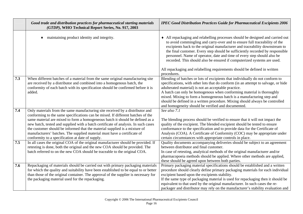|            | Good trade and distribution practices for pharmaceutical starting materials<br>(GTDP), WHO Technical Report Series, No. 917, 2003                                                                                                                                                                                                                                                                                                                                                                                                                                                                                                                                                                                                                                                                       | <b>IPEC Good Distribution Practices Guide for Pharmaceutical Excipients 2006</b>                                                                                                                                                                                                                                                                                                                                                                                                                                                                                                                                                                                                                                                                  |
|------------|---------------------------------------------------------------------------------------------------------------------------------------------------------------------------------------------------------------------------------------------------------------------------------------------------------------------------------------------------------------------------------------------------------------------------------------------------------------------------------------------------------------------------------------------------------------------------------------------------------------------------------------------------------------------------------------------------------------------------------------------------------------------------------------------------------|---------------------------------------------------------------------------------------------------------------------------------------------------------------------------------------------------------------------------------------------------------------------------------------------------------------------------------------------------------------------------------------------------------------------------------------------------------------------------------------------------------------------------------------------------------------------------------------------------------------------------------------------------------------------------------------------------------------------------------------------------|
|            | maintaining product identity and integrity.                                                                                                                                                                                                                                                                                                                                                                                                                                                                                                                                                                                                                                                                                                                                                             | • All repackaging and relabelling processes should be designed and carried out<br>to avoid commingling and carry-over and to ensure full traceability of the<br>excipients back to the original manufacturer and traceability downstream to<br>the final customer. Every step should be sufficiently recorded by responsible<br>personnel. Name of operator, date and time of every step should also be<br>recorded. This should also be ensured if computerized systems are used.<br>All repackaging and relabelling requirements should be defined in written<br>procedures.                                                                                                                                                                    |
| 7.3        | When different batches of a material from the same original manufacturing site<br>are received by a distributor and combined into a homogenous batch, the<br>conformity of each batch with its specification should be confirmed before it is<br>added.                                                                                                                                                                                                                                                                                                                                                                                                                                                                                                                                                 | Blending of batches or lots of excipients that individually do not conform to<br>specifications, with other lots that do conform (in an attempt to salvage, or hide<br>adulterated material) is not an acceptable practice.<br>A batch can only be homogenous when conforming material is thoroughly<br>mixed. Mixing to form a homogeneous batch is a manufacturing step and<br>should be defined in a written procedure. Mixing should always be controlled<br>and homogeneity should be verified and documented.                                                                                                                                                                                                                               |
| 7.4<br>7.5 | Only materials from the same manufacturing site received by a distributor and<br>conforming to the same specifications can be mixed. If different batches of the<br>same material are mixed to form a homogeneous batch it should be defined as a<br>new batch, tested and supplied with a batch certificate of analysis. In such cases<br>the customer should be informed that the material supplied is a mixture of<br>manufacturers' batches. The supplied material must have a certificate of<br>conformity to a specification at date of supply.<br>In all cases the original COA of the original manufacturer should be provided. If<br>retesting is done, both the original and the new COA should be provided. The<br>batch referred to on the new COA should be traceable to the original COA. | See also 7.1<br>The blending process should be verified to ensure that it will not impact the<br>quality of the excipient. The blended excipient should be tested to ensure<br>conformance to the specification and to provide data for the Certificate of<br>Analysis (COA). A Certificate of Conformity (COC) may be appropriate under<br>certain circumstances with appropriate controls in place.<br>Quality documents accompanying deliveries should be subject to an agreement<br>between distributor and final customer.<br>In case of retesting, analytical methods of the original manufacturer and/or<br>pharmacopoeia methods should be applied. Where other methods are applied,<br>these should be agreed upon between both parties. |
| 7.6        | Repackaging of materials should be carried out with primary packaging materials<br>for which the quality and suitability have been established to be equal to or better<br>than those of the original container. The approval of the supplier is necessary for<br>the packaging material used for the repackaging.                                                                                                                                                                                                                                                                                                                                                                                                                                                                                      | Primary packaging material specifications should be established and a written<br>procedure should clearly define primary packaging materials for each individual<br>excipient based upon the excipients stability.<br>If the same type of packaging material is used for repackaging then it should be<br>equivalent to that used by the original manufacturer. In such cases the re-<br>packager and distributor may rely on the manufacturer's stability evaluation and                                                                                                                                                                                                                                                                         |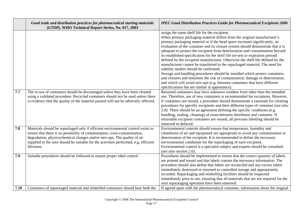|      | Good trade and distribution practices for pharmaceutical starting materials<br>(GTDP), WHO Technical Report Series, No. 917, 2003                                                                                                                                                                                                                | <b>IPEC Good Distribution Practices Guide for Pharmaceutical Excipients 2006</b>                                                                                                                                                                                                                                                                                                                                                                                                                                                                                                                                                                                                                                                                                                                                                                                                                                                                                                                                                                          |
|------|--------------------------------------------------------------------------------------------------------------------------------------------------------------------------------------------------------------------------------------------------------------------------------------------------------------------------------------------------|-----------------------------------------------------------------------------------------------------------------------------------------------------------------------------------------------------------------------------------------------------------------------------------------------------------------------------------------------------------------------------------------------------------------------------------------------------------------------------------------------------------------------------------------------------------------------------------------------------------------------------------------------------------------------------------------------------------------------------------------------------------------------------------------------------------------------------------------------------------------------------------------------------------------------------------------------------------------------------------------------------------------------------------------------------------|
| 7.7  | The re-use of containers should be discouraged unless they have been cleaned                                                                                                                                                                                                                                                                     | assign the same shelf life for the excipient.<br>When primary packaging material differs from the original manufacturer's<br>primary packaging material or if the head space increases significantly, an<br>evaluation of the container and its closure system should demonstrate that it is<br>adequate to protect the excipient from deterioration and contamination beyond<br>its established specification for the shelf life (re-test or expiration period)<br>defined by the excipient manufacturer. Otherwise the shelf life defined by the<br>manufacturer cannot be transferred to the repackaged material. The need for<br>stability studies should be confirmed.<br>Storage and handling procedures should be installed which protect containers<br>and closures and minimise the risk of contamination, damage or deterioration,<br>and which will avoid mix-ups (e.g. between containers that have different<br>specifications but are similar in appearance).<br>Returned containers may have unknown residues from other than the intended |
|      | using a validated procedure. Recycled containers should not be used unless there<br>is evidence that the quality of the material packed will not be adversely affected.                                                                                                                                                                          | use. Therefore, use of new containers is recommended for excipients. However,<br>if containers are reused, a procedure should demonstrate a rationale for cleaning<br>procedures for specific excipients and their different types of container (see also<br>5.8). There should be an agreement defining the specific conditions (e.g.<br>handling, sealing, cleaning) of reuse between distributor and customer. If<br>returnable excipient containers are reused, all previous labelling should be<br>removed or defaced.                                                                                                                                                                                                                                                                                                                                                                                                                                                                                                                               |
| 7.8  | Materials should be repackaged only if efficient environmental control exists to<br>ensure that there is no possibility of contamination, cross-contamination,<br>degradation, physicochemical changes and/or mix-ups. The quality of air<br>supplied to the area should be suitable for the activities performed, e.g. efficient<br>filtration. | Environmental controls should ensure that temperature, humidity and<br>cleanliness of air and equipment are appropriate to avoid any contamination or<br>deterioration of the excipient. It is recommended to define the necessary<br>environmental conditions for the repackaging of each excipient.<br>Environmental control is a specialist subject and experts should be consulted.<br>(see also section $2.6$ ).                                                                                                                                                                                                                                                                                                                                                                                                                                                                                                                                                                                                                                     |
| 7.9  | Suitable procedures should be followed to ensure proper label control.                                                                                                                                                                                                                                                                           | Procedures should be implemented to ensure that the correct quantity of labels<br>are printed and issued and that labels contain the necessary information. The<br>procedure should also define that labels are reconciled and any excess labels<br>immediately destroyed or returned to controlled storage and appropriately<br>recorded. Repackaging and relabelling facilities should be inspected<br>immediately prior to use, ensuring that all materials that are not required for the<br>next repackaging operation have been removed.                                                                                                                                                                                                                                                                                                                                                                                                                                                                                                             |
| 7.10 | Containers of repackaged material and relabelled containers should bear both the                                                                                                                                                                                                                                                                 | If agreed upon with the pharmaceutical customer, information about the original                                                                                                                                                                                                                                                                                                                                                                                                                                                                                                                                                                                                                                                                                                                                                                                                                                                                                                                                                                           |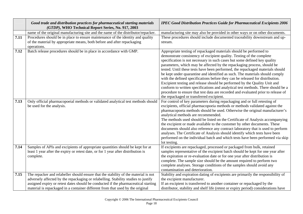|      | Good trade and distribution practices for pharmaceutical starting materials<br>(GTDP), WHO Technical Report Series, No. 917, 2003                                                                                                                                                                                                                 | <b>IPEC Good Distribution Practices Guide for Pharmaceutical Excipients 2006</b>                                                                                                                                                                                                                                                                                                                                                                                                                                                                                                                                                                                                                                                                                                                                                                         |
|------|---------------------------------------------------------------------------------------------------------------------------------------------------------------------------------------------------------------------------------------------------------------------------------------------------------------------------------------------------|----------------------------------------------------------------------------------------------------------------------------------------------------------------------------------------------------------------------------------------------------------------------------------------------------------------------------------------------------------------------------------------------------------------------------------------------------------------------------------------------------------------------------------------------------------------------------------------------------------------------------------------------------------------------------------------------------------------------------------------------------------------------------------------------------------------------------------------------------------|
|      | name of the original manufacturing site and the name of the distributor/repacker.                                                                                                                                                                                                                                                                 | manufacturing site may also be provided in other ways or on other documents.                                                                                                                                                                                                                                                                                                                                                                                                                                                                                                                                                                                                                                                                                                                                                                             |
| 7.11 | Procedures should be in place to ensure maintenance of the identity and quality<br>of the material by appropriate means, both before and after repackaging<br>operations.                                                                                                                                                                         | These procedures should include documented traceability downstream and up-<br>stream.                                                                                                                                                                                                                                                                                                                                                                                                                                                                                                                                                                                                                                                                                                                                                                    |
| 7.12 | Batch release procedures should be in place in accordance with GMP.                                                                                                                                                                                                                                                                               | Appropriate testing of repackaged materials should be performed to<br>demonstrate consistency of excipient quality. Testing of the complete<br>specification is not necessary in such cases but some defined key quality<br>parameters, which may be affected by the repackaging process, should be<br>tested. Until these tests have been performed, the repackaged materials should<br>be kept under quarantine and identified as such. The materials should comply<br>with the defined specifications before they can be released for distribution.<br>Excipient testing and release should be performed by the Quality Unit and<br>conform to written specifications and analytical test methods. There should be a<br>procedure to ensure that test data are recorded and evaluated prior to release of<br>the repackaged or transferred excipient. |
| 7.13 | Only official pharmacopoeial methods or validated analytical test methods should<br>be used for the analysis.                                                                                                                                                                                                                                     | For control of key parameters during repackaging and or full retesting of<br>excipients, official pharmacopoeia methods or methods validated against the<br>pharmacopoeia methods should be used. Otherwise the original manufacturer's<br>analytical methods are recommended.<br>The methods used should be listed on the Certificate of Analysis accompanying<br>the excipient or made available to the customer by other documents. These<br>documents should also reference any contract laboratory that is used to perform<br>analyses. The Certificate of Analysis should identify which tests have been<br>performed on the individual batch and which tests have been performed via skip<br>lot testing.                                                                                                                                         |
| 7.14 | Samples of APIs and excipients of appropriate quantities should be kept for at<br>least 1 year after the expiry or retest date, or for 1 year after distribution is<br>complete.                                                                                                                                                                  | If excipients are repackaged, processed or packaged from bulk, retained<br>samples representative of the excipient batch should be kept for one year after<br>the expiration or re-evaluation date or for one year after distribution is<br>complete. The sample size should be the amount required to perform two<br>complete analyses. Storage conditions of the samples should avoid any<br>contamination and deterioration.                                                                                                                                                                                                                                                                                                                                                                                                                          |
| 7.15 | The repacker and relabeller should ensure that the stability of the material is not<br>adversely affected by the repackaging or relabelling. Stability studies to justify<br>assigned expiry or retest dates should be conducted if the pharmaceutical starting<br>material is repackaged in a container different from that used by the original | Stability and expiration dating of excipients are primarily the responsibility of<br>the excipient manufacturer.<br>If an excipient is transferred to another container or repackaged by the<br>distributor, stability and shelf life (retest or expiry period) considerations have                                                                                                                                                                                                                                                                                                                                                                                                                                                                                                                                                                      |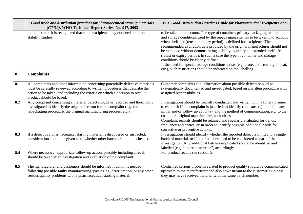|     | Good trade and distribution practices for pharmaceutical starting materials<br>(GTDP), WHO Technical Report Series, No. 917, 2003                                                                                                                                             | <b>IPEC Good Distribution Practices Guide for Pharmaceutical Excipients 2006</b>                                                                                                                                                                                                                                                                                                                                                                                                                                                                                                                                                                                                                |
|-----|-------------------------------------------------------------------------------------------------------------------------------------------------------------------------------------------------------------------------------------------------------------------------------|-------------------------------------------------------------------------------------------------------------------------------------------------------------------------------------------------------------------------------------------------------------------------------------------------------------------------------------------------------------------------------------------------------------------------------------------------------------------------------------------------------------------------------------------------------------------------------------------------------------------------------------------------------------------------------------------------|
|     | manufacturer. It is recognized that some excipients may not need additional<br>stability studies.                                                                                                                                                                             | to be taken into account. The type of container, primary packaging materials<br>and storage conditions used by the repackaging site has to be taken into account<br>when shelf life (retest or expiry period) is defined for excipients. The<br>recommended expiration date provided by the original manufacturer should not<br>be extended without demonstrating stability to justify an extended shelf life<br>(retest or expiry period). In such a case the type of container and storage<br>conditions should be clearly defined.<br>If the need for special storage conditions exists (e.g. protection from light, heat,<br>etc.), such restrictions should be indicated on the labelling. |
| 8   | <b>Complaints</b>                                                                                                                                                                                                                                                             |                                                                                                                                                                                                                                                                                                                                                                                                                                                                                                                                                                                                                                                                                                 |
| 8.1 | All complaints and other information concerning potentially defective materials<br>must be carefully reviewed according to written procedures that describe the<br>action to be taken, and including the criteria on which a decision to recall a<br>product should be based. | Customer complaints and information about possible defects should be<br>systematically documented and investigated, based on a written procedure with<br>assigned responsibilities.                                                                                                                                                                                                                                                                                                                                                                                                                                                                                                             |
| 8.2 | Any complaint concerning a material defect should be recorded and thoroughly<br>investigated to identify the origin or reason for the complaint (e.g. the<br>repackaging procedure, the original manufacturing process, etc.).                                                | Investigations should be formally conducted and written up in a timely manner<br>to establish if the complaint is justified, to identify root cause(s), to define any<br>initial and/or follow up action(s), and the method of communication, e.g. to the<br>customer, original manufacturer, authorities etc.<br>Complaint records should be retained and regularly evaluated for trends,<br>frequency and criticality in order to identify possible additional needs for<br>corrective or preventive actions.                                                                                                                                                                                 |
| 8.3 | If a defect in a pharmaceutical starting material is discovered or suspected,<br>consideration should be given as to whether other batches should be checked.                                                                                                                 | Investigations should identify whether the reported defect is limited to a single<br>batch of material, or if other batches need to be considered as part of the<br>investigation. Any additional batches implicated should be identified and<br>labelled (e.g. "under quarantine") accordingly.                                                                                                                                                                                                                                                                                                                                                                                                |
| 8.4 | Where necessary, appropriate follow-up action, possibly including a recall,<br>should be taken after investigation and evaluation of the complaint.                                                                                                                           | For product recalls see section 9.                                                                                                                                                                                                                                                                                                                                                                                                                                                                                                                                                                                                                                                              |
| 8.5 | The manufacturer and customers should be informed if action is needed<br>following possible faulty manufacturing, packaging, deterioration, or any other<br>serious quality problems with a pharmaceutical starting material.                                                 | Confirmed serious problems related to product quality should be communicated<br>upstream to the manufacturer and also downstream to the customer(s) in case<br>they may have received material with the same batch number.                                                                                                                                                                                                                                                                                                                                                                                                                                                                      |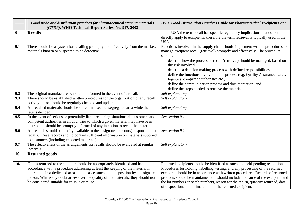|      | Good trade and distribution practices for pharmaceutical starting materials<br>(GTDP), WHO Technical Report Series, No. 917, 2003                                                                                                                                                                                                                                                             | <b>IPEC Good Distribution Practices Guide for Pharmaceutical Excipients 2006</b>                                                                                                                                                                                                                                                                                                                                                                                                                                                                                                                     |
|------|-----------------------------------------------------------------------------------------------------------------------------------------------------------------------------------------------------------------------------------------------------------------------------------------------------------------------------------------------------------------------------------------------|------------------------------------------------------------------------------------------------------------------------------------------------------------------------------------------------------------------------------------------------------------------------------------------------------------------------------------------------------------------------------------------------------------------------------------------------------------------------------------------------------------------------------------------------------------------------------------------------------|
| 9    | <b>Recalls</b>                                                                                                                                                                                                                                                                                                                                                                                | In the USA the term recall has specific regulatory implications that do not<br>directly apply to excipients; therefore the term retrieval is typically used in the<br>USA.                                                                                                                                                                                                                                                                                                                                                                                                                           |
| 9.1  | There should be a system for recalling promptly and effectively from the market,<br>materials known or suspected to be defective.                                                                                                                                                                                                                                                             | Functions involved in the supply chain should implement written procedures to<br>manage excipient recall (retrieval) promptly and effectively. The procedure<br>should:<br>- describe how the process of recall (retrieval) should be managed, based on<br>the risk involved.<br>- describe a decision making process with defined responsibilities,<br>- define the functions involved in the process (e.g. Quality Assurance, sales,<br>logistics, competent authorities etc.)<br>- define the communication process and documentation, and<br>- define the steps needed to retrieve the material. |
| 9.2  | The original manufacturer should be informed in the event of a recall.                                                                                                                                                                                                                                                                                                                        | Self explanatory                                                                                                                                                                                                                                                                                                                                                                                                                                                                                                                                                                                     |
| 9.3  | There should be established written procedures for the organization of any recall<br>activity; these should be regularly checked and updated.                                                                                                                                                                                                                                                 | Self explanatory                                                                                                                                                                                                                                                                                                                                                                                                                                                                                                                                                                                     |
| 9.4  | All recalled materials should be stored in a secure, segregated area while their<br>fate is decided.                                                                                                                                                                                                                                                                                          | Self explanatory                                                                                                                                                                                                                                                                                                                                                                                                                                                                                                                                                                                     |
| 9.5  | In the event of serious or potentially life-threatening situations all customers and<br>competent authorities in all countries to which a given material may have been<br>distributed should be promptly informed of any intention to recall the material.                                                                                                                                    | See section 9.1                                                                                                                                                                                                                                                                                                                                                                                                                                                                                                                                                                                      |
| 9.6  | All records should be readily available to the designated person(s) responsible for<br>recalls. These records should contain sufficient information on materials supplied<br>to customers (including exported materials).                                                                                                                                                                     | See section 9.1                                                                                                                                                                                                                                                                                                                                                                                                                                                                                                                                                                                      |
| 9.7  | The effectiveness of the arrangements for recalls should be evaluated at regular<br>intervals.                                                                                                                                                                                                                                                                                                | Self explanatory                                                                                                                                                                                                                                                                                                                                                                                                                                                                                                                                                                                     |
| 10   | <b>Returned goods</b>                                                                                                                                                                                                                                                                                                                                                                         |                                                                                                                                                                                                                                                                                                                                                                                                                                                                                                                                                                                                      |
| 10.1 | Goods returned to the supplier should be appropriately identified and handled in<br>accordance with a procedure addressing at least the keeping of the material in<br>quarantine in a dedicated area, and its assessment and disposition by a designated<br>person. Where any doubt arises over the quality of the materials, they should not<br>be considered suitable for reissue or reuse. | Returned excipients should be identified as such and held pending resolution.<br>Procedures for holding, labelling, testing, and any processing of the returned<br>excipient should be in accordance with written procedures. Records of returned<br>products should be maintained and should include the name of the excipient and<br>the lot number (or batch number), reason for the return, quantity returned, date<br>of disposition, and ultimate fate of the returned excipient.                                                                                                              |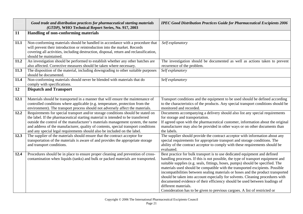|      | Good trade and distribution practices for pharmaceutical starting materials<br>(GTDP), WHO Technical Report Series, No. 917, 2003                                                                                                                                               | <b>IPEC Good Distribution Practices Guide for Pharmaceutical Excipients 2006</b>                                                                                                                                                                                                                                                                                                                                                                                                                                                                                                                               |
|------|---------------------------------------------------------------------------------------------------------------------------------------------------------------------------------------------------------------------------------------------------------------------------------|----------------------------------------------------------------------------------------------------------------------------------------------------------------------------------------------------------------------------------------------------------------------------------------------------------------------------------------------------------------------------------------------------------------------------------------------------------------------------------------------------------------------------------------------------------------------------------------------------------------|
| 11   | Handling of non-conforming materials                                                                                                                                                                                                                                            |                                                                                                                                                                                                                                                                                                                                                                                                                                                                                                                                                                                                                |
| 11.1 | Non-conforming materials should be handled in accordance with a procedure that<br>will prevent their introduction or reintroduction into the market. Records<br>covering all activities, including destruction, disposal, return and reclassification,<br>should be maintained. | Self explanatory                                                                                                                                                                                                                                                                                                                                                                                                                                                                                                                                                                                               |
| 11.2 | An investigation should be performed to establish whether any other batches are                                                                                                                                                                                                 | The investigation should be documented as well as actions taken to prevent                                                                                                                                                                                                                                                                                                                                                                                                                                                                                                                                     |
|      | also affected. Corrective measures should be taken where necessary.                                                                                                                                                                                                             | recurrence of the problem.                                                                                                                                                                                                                                                                                                                                                                                                                                                                                                                                                                                     |
| 11.3 | The disposition of the material, including downgrading to other suitable purposes<br>should be documented.                                                                                                                                                                      | Self explanatory                                                                                                                                                                                                                                                                                                                                                                                                                                                                                                                                                                                               |
| 11.4 | Non-conforming materials should never be blended with materials that do                                                                                                                                                                                                         | Self explanatory                                                                                                                                                                                                                                                                                                                                                                                                                                                                                                                                                                                               |
|      | comply with specifications.                                                                                                                                                                                                                                                     |                                                                                                                                                                                                                                                                                                                                                                                                                                                                                                                                                                                                                |
| 12   | <b>Dispatch and Transport</b>                                                                                                                                                                                                                                                   |                                                                                                                                                                                                                                                                                                                                                                                                                                                                                                                                                                                                                |
|      |                                                                                                                                                                                                                                                                                 |                                                                                                                                                                                                                                                                                                                                                                                                                                                                                                                                                                                                                |
| 12.1 | Materials should be transported in a manner that will ensure the maintenance of<br>controlled conditions where applicable (e.g. temperature, protection from the<br>environment). The transport process should not adversely affect the materials.                              | Transport conditions and the equipment to be used should be defined according<br>to the characteristics of the products. Any special transport conditions should be<br>monitored and recorded.                                                                                                                                                                                                                                                                                                                                                                                                                 |
| 12.2 | Requirements for special transport and/or storage conditions should be stated on                                                                                                                                                                                                | Documents accompanying a delivery should also list any special requirements                                                                                                                                                                                                                                                                                                                                                                                                                                                                                                                                    |
|      | the label. If the pharmaceutical starting material is intended to be transferred                                                                                                                                                                                                | for storage and transportation.                                                                                                                                                                                                                                                                                                                                                                                                                                                                                                                                                                                |
|      | outside the control of the manufacturer's materials management system, the name                                                                                                                                                                                                 | If agreed upon with the pharmaceutical customer, information about the original                                                                                                                                                                                                                                                                                                                                                                                                                                                                                                                                |
|      | and address of the manufacturer, quality of contents, special transport conditions<br>and any special legal requirements should also be included on the label.                                                                                                                  | manufacturer may also be provided in other ways or on other documents than<br>the labels.                                                                                                                                                                                                                                                                                                                                                                                                                                                                                                                      |
| 12.3 | The supplier of the materials should ensure that the contract acceptor for                                                                                                                                                                                                      | The supplier should provide the contract acceptor with information about any                                                                                                                                                                                                                                                                                                                                                                                                                                                                                                                                   |
|      | transportation of the materials is aware of and provides the appropriate storage                                                                                                                                                                                                | special requirements for appropriate transport and storage conditions. The                                                                                                                                                                                                                                                                                                                                                                                                                                                                                                                                     |
|      | and transport conditions.                                                                                                                                                                                                                                                       | ability of the contract acceptor to comply with these requirements should be                                                                                                                                                                                                                                                                                                                                                                                                                                                                                                                                   |
| 12.4 | Procedures should be in place to ensure proper cleaning and prevention of cross-                                                                                                                                                                                                | evaluated.<br>Best practice for bulk transport is to use dedicated equipment and defined                                                                                                                                                                                                                                                                                                                                                                                                                                                                                                                       |
|      | contamination when liquids (tanks) and bulk or packed materials are transported.                                                                                                                                                                                                | handling processes. If this is not possible, the type of transport equipment and<br>suitable supplies (e.g. seals, fittings, hoses, pumps) should be specified. The<br>materials used should be compatible with the transported excipients. Possible<br>incompatibilities between sealing materials or hoses and the product transported<br>should be taken into account especially for solvents. Cleaning procedures with<br>documented evidence of their efficiency should be used between loadings of<br>different materials.<br>Consideration has to be given to previous cargoes. A list of restricted or |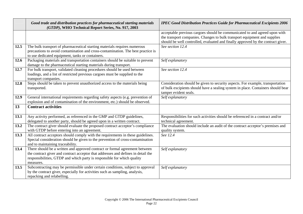|      | Good trade and distribution practices for pharmaceutical starting materials<br>(GTDP), WHO Technical Report Series, No. 917, 2003                                                                                                                        | <b>IPEC Good Distribution Practices Guide for Pharmaceutical Excipients 2006</b>                                                                                                                                                            |
|------|----------------------------------------------------------------------------------------------------------------------------------------------------------------------------------------------------------------------------------------------------------|---------------------------------------------------------------------------------------------------------------------------------------------------------------------------------------------------------------------------------------------|
|      |                                                                                                                                                                                                                                                          | acceptable previous cargoes should be communicated to and agreed upon with<br>the transport companies. Changes to bulk transport equipment and supplies<br>should be well controlled, evaluated and finally approved by the contract giver. |
| 12.5 | The bulk transport of pharmaceutical starting materials requires numerous<br>precautions to avoid contamination and cross-contamination. The best practice is<br>to use dedicated equipment, tanks or containers.                                        | See section 12.4                                                                                                                                                                                                                            |
| 12.6 | Packaging materials and transportation containers should be suitable to prevent<br>damage to the pharmaceutical starting materials during transport.                                                                                                     | Self explanatory                                                                                                                                                                                                                            |
| 12.7 | For bulk transport, validated cleaning procedures should be used between<br>loadings, and a list of restricted previous cargoes must be supplied to the<br>transport companies.                                                                          | See section 12.4                                                                                                                                                                                                                            |
| 12.8 | Steps should be taken to prevent unauthorized access to the materials being<br>transported.                                                                                                                                                              | Consideration should be given to security aspects. For example, transportation<br>of bulk excipients should have a sealing system in place. Containers should bear<br>tamper evident seals.                                                 |
| 12.9 | General international requirements regarding safety aspects (e.g. prevention of<br>explosion and of contamination of the environment, etc.) should be observed.                                                                                          | Self explanatory                                                                                                                                                                                                                            |
| 13   | <b>Contract activities</b>                                                                                                                                                                                                                               |                                                                                                                                                                                                                                             |
| 13.1 | Any activity performed, as referenced in the GMP and GTDP guidelines,<br>delegated to another party, should be agreed upon in a written contract.                                                                                                        | Responsibilities for such activities should be referenced in a contract and/or<br>technical agreement.                                                                                                                                      |
| 13.2 | The contract giver should evaluate the proposed contract acceptor's compliance<br>with GTDP before entering into an agreement.                                                                                                                           | The evaluation should include an audit of the contract acceptor's premises and<br>quality system.                                                                                                                                           |
| 13.3 | All contract acceptors should comply with the requirements in these guidelines.<br>Special consideration should be given to the prevention of cross-contamination<br>and to maintaining traceability.                                                    | See 12.4                                                                                                                                                                                                                                    |
| 13.4 | There should be a written and approved contract or formal agreement between<br>the contract giver and contract acceptor that addresses and defines in detail the<br>responsibilities, GTDP and which party is responsible for which quality<br>measures. | Self explanatory                                                                                                                                                                                                                            |
| 13.5 | Subcontracting may be permissible under certain conditions, subject to approval<br>by the contract giver, especially for activities such as sampling, analysis,<br>repacking and relabelling.                                                            | Self explanatory                                                                                                                                                                                                                            |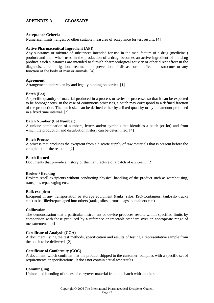# **APPENDIX A GLOSSARY**

#### **Acceptance Criteria**

Numerical limits, ranges, or other suitable measures of acceptance for test results. [4]

#### **Active Pharmaceutical Ingredient (API)**

Any substance or mixture of substances intended for use in the manufacture of a drug (medicinal) product and that, when used in the production of a drug, becomes an active ingredient of the drug product. Such substances are intended to furnish pharmacological activity or other direct effect in the diagnosis, cure, mitigation, treatment, or prevention of disease or to affect the structure or any function of the body of man or animals. [4]

#### **Agreement**

Arrangement undertaken by and legally binding on parties. [1]

#### **Batch (Lot)**

A specific quantity of material produced in a process or series of processes so that it can be expected to be homogeneous. In the case of continuous processes, a batch may correspond to a defined fraction of the production. The batch size can be defined either by a fixed quantity or by the amount produced in a fixed time interval. [2]

#### **Batch Number (Lot Number)**

A unique combination of numbers, letters and/or symbols that identifies a batch (or lot) and from which the production and distribution history can be determined. [4]

#### **Batch Process**

A process that produces the excipient from a discrete supply of raw materials that is present before the completion of the reaction. [2]

#### **Batch Record**

Documents that provide a history of the manufacture of a batch of excipient. [2]

#### **Broker / Broking**

Brokers resell excipients without conducting physical handling of the product such as warehousing, transport, repackaging etc..

#### **Bulk excipient**

Excipient in any transportation or storage equipment (tanks, silos, ISO-Containers, tank/silo trucks etc.) to be filled/repackaged into others (tanks, silos, drums, bags, containers etc.).

#### **Calibration**

The demonstration that a particular instrument or device produces results within specified limits by comparison with those produced by a reference or traceable standard over an appropriate range of measurements. [4]

#### **Certificate of Analysis (COA)**

A document listing the test methods, specification and results of testing a representative sample from the batch to be delivered. [2]

#### **Certificate of Conformity (COC)**

A document, which confirms that the product shipped to the customer, complies with a specific set of requirements or specifications. It does not contain actual test results.

#### **Commingling**

Unintended blending of traces of carryover material from one batch with another.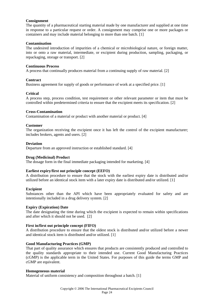# **Consignment**

The quantity of a pharmaceutical starting material made by one manufacturer and supplied at one time in response to a particular request or order. A consignment may comprise one or more packages or containers and may include material belonging to more than one batch. [1]

# **Contamination**

The undesired introduction of impurities of a chemical or microbiological nature, or foreign matter, into or onto a raw material, intermediate, or excipient during production, sampling, packaging, or repackaging, storage or transport. [2]

# **Continuous Process**

A process that continually produces material from a continuing supply of raw material. [2]

# **Contract**

Business agreement for supply of goods or performance of work at a specified price. [1]

# **Critical**

A process step, process condition, test requirement or other relevant parameter or item that must be controlled within predetermined criteria to ensure that the excipient meets its specification. [2]

# **Cross-Contamination**

Contamination of a material or product with another material or product. [4]

# **Customer**

The organization receiving the excipient once it has left the control of the excipient manufacturer; includes brokers, agents and users. [2]

# **Deviation**

Departure from an approved instruction or established standard. [4]

# **Drug (Medicinal) Product**

The dosage form in the final immediate packaging intended for marketing. [4]

# **Earliest expiry/first out principle concept (EEFO)**

A distribution procedure to ensure that the stock with the earliest expiry date is distributed and/or utilized before an identical stock item with a later expiry date is distributed and/or utilized. [1]

# **Excipient**

Substances other than the API which have been appropriately evaluated for safety and are intentionally included in a drug delivery system. [2]

# **Expiry (Expiration) Date**

The date designating the time during which the excipient is expected to remain within specifications and after which it should not be used. [2]

# **First in/first out principle concept (FIFO)**

A distribution procedure to ensure that the oldest stock is distributed and/or utilized before a newer and identical stock item is distributed and/or utilized. [1]

# **Good Manufacturing Practices (GMP)**

That part of quality assurance which ensures that products are consistently produced and controlled to the quality standards appropriate to their intended use. Current Good Manufacturing Practices (cGMP) is the applicable term in the United States. For purposes of this guide the terms GMP and cGMP are equivalent.

# **Homogeneous material**

Material of uniform consistency and composition throughout a batch. [1]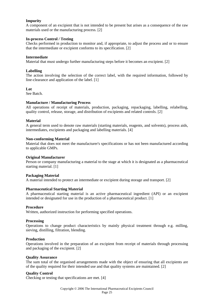# **Impurity**

A component of an excipient that is not intended to be present but arises as a consequence of the raw materials used or the manufacturing process. [2]

# **In-process Control / Testing**

Checks performed in production to monitor and, if appropriate, to adjust the process and or to ensure that the intermediate or excipient conforms to its specification. [2]

#### **Intermediate**

Material that must undergo further manufacturing steps before it becomes an excipient. [2]

#### **Labelling**

The action involving the selection of the correct label, with the required information, followed by line-clearance and application of the label. [1]

#### **Lot**

See Batch.

#### **Manufacture / Manufacturing Process**

All operations of receipt of materials, production, packaging, repackaging, labelling, relabelling, quality control, release, storage, and distribution of excipients and related controls. [2]

#### **Material**

A general term used to denote raw materials (starting materials, reagents, and solvents), process aids, intermediates, excipients and packaging and labelling materials. [4]

#### **Non-conforming Material**

Material that does not meet the manufacturer's specifications or has not been manufactured according to applicable GMPs.

# **Original Manufacturer**

Person or company manufacturing a material to the stage at which it is designated as a pharmaceutical starting material. [1]

# **Packaging Material**

A material intended to protect an intermediate or excipient during storage and transport. [2]

# **Pharmaceutical Starting Material**

A pharmaceutical starting material is an active pharmaceutical ingredient (API) or an excipient intended or designated for use in the production of a pharmaceutical product. [1]

#### **Procedure**

Written, authorized instruction for performing specified operations.

#### **Processing**

Operations to change product characteristics by mainly physical treatment through e.g. milling, sieving, distilling, filtration, blending.

#### **Production**

Operations involved in the preparation of an excipient from receipt of materials through processing and packaging of the excipient. [2]

#### **Quality Assurance**

The sum total of the organised arrangements made with the object of ensuring that all excipients are of the quality required for their intended use and that quality systems are maintained. [2]

#### **Quality Control**

Checking or testing that specifications are met. [4]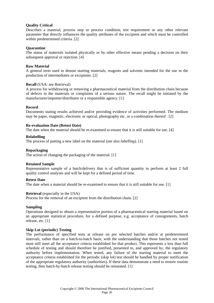# **Quality Critical**

Describes a material, process step or process condition, test requirement or any other relevant parameter that directly influences the quality attributes of the excipient and which must be controlled within predetermined criteria. [2]

# **Quarantine**

The status of materials isolated physically or by other effective means pending a decision on their subsequent approval or rejection. [4]

# **Raw Material**

A general term used to denote starting materials, reagents and solvents intended for the use in the production of intermediates or excipients. [2]

# **Recall** (USA: see Retrieval)

A process for withdrawing or removing a pharmaceutical material from the distribution chain because of defects in the materials or complaints of a serious nature. The recall might be initiated by the manufacturer/importer/distributor or a responsible agency. [1]

# **Record**

Documents stating results achieved and/or providing evidence of activities performed. The medium may be paper, magnetic, electronic or optical, photography etc. or a combination thereof . [2]

# **Re-evaluation Date (Retest Date)**

The date when the material should be re-examined to ensure that it is still suitable for use. [4]

# **Relabelling**

The process of putting a new label on the material (see also *labelling*). [1]

# **Repackaging**

The action of changing the packaging of the material. [1]

# **Retained Sample**

Representative sample of a batch/delivery that is of sufficient quantity to perform at least 2 full quality control analyses and will be kept for a defined period of time.

# **Retest Date**

The date when a material should be re-examined to ensure that it is still suitable for use. [1]

# **Retrieval** (especially in the USA)

Process for the removal of an excipient from the distribution chain. [2]

# **Sampling**

Operations designed to obtain a representative portion of a pharmaceutical starting material based on an appropriate statistical procedure, for a defined purpose, e.g. acceptance of consignments, batch release, etc. [1]

# **Skip Lot (periodic) Testing**

The performance of specified tests at release on pre selected batches and/or at predetermined intervals, rather than on a batch-to-batch basis, with the understanding that those batches not tested must still meet all the acceptance criteria established for that product. This represents a less than full schedule of testing and should therefore be justified, presented to, and approved by, the regulatory authority before implementation. When tested, any failure of the starting material to meet the acceptance criteria established for the periodic (skip lot) test should be handled by proper notification of the appropriate regulatory authority (authorities). If these data demonstrate a need to restore routine testing, then batch-by-batch release testing should be reinstated. [1]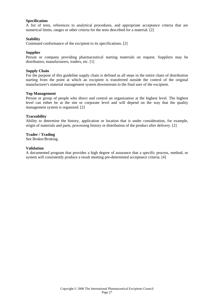#### **Specification**

A list of tests, references to analytical procedures, and appropriate acceptance criteria that are numerical limits, ranges or other criteria for the tests described for a material. [2]

#### **Stability**

Continued conformance of the excipient to its specifications. [2]

# **Supplier**

Person or company providing pharmaceutical starting materials on request. Suppliers may be distributors, manufacturers, traders, etc. [1]

#### **Supply Chain**

For the purpose of this guideline supply chain is defined as all steps in the entire chain of distribution starting from the point at which an excipient is transferred outside the control of the original manufacturer's material management system downstream to the final user of the excipient.

#### **Top Management**

Person or group of people who direct and control an organization at the highest level. The highest level can either be at the site or corporate level and will depend on the way that the quality management system is organized. [2]

#### **Traceability**

Ability to determine the history, application or location that is under consideration, for example, origin of materials and parts, processing history or distribution of the product after delivery. [2]

#### **Trader / Trading**

See Broker/Broking.

#### **Validation**

A documented program that provides a high degree of assurance that a specific process, method, or system will consistently produce a result meeting pre-determined acceptance criteria. [4]